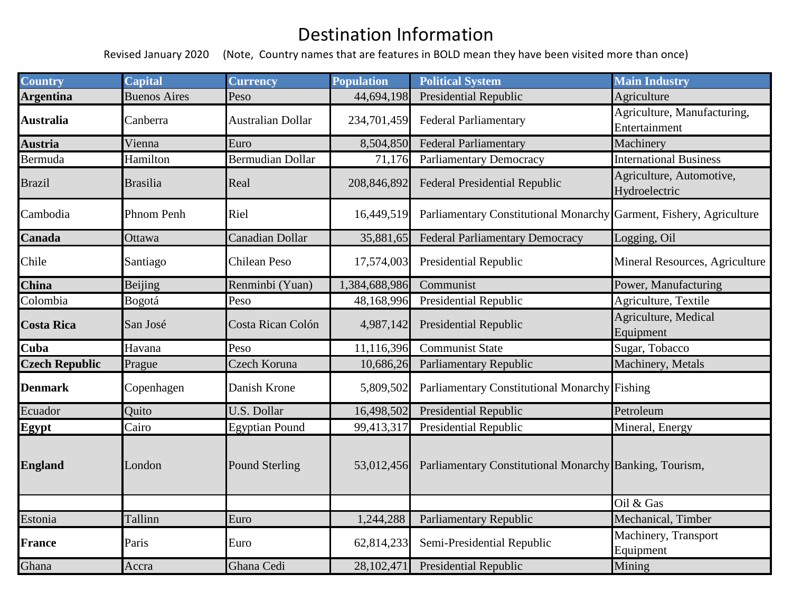## Destination Information

Revised January 2020 (Note, Country names that are features in BOLD mean they have been visited more than once)

| <b>Country</b>        | <b>Capital</b>      | <b>Currency</b>         | <b>Population</b> | <b>Political System</b>                                             | <b>Main Industry</b>                         |
|-----------------------|---------------------|-------------------------|-------------------|---------------------------------------------------------------------|----------------------------------------------|
| <b>Argentina</b>      | <b>Buenos Aires</b> | Peso                    | 44,694,198        | Presidential Republic                                               | Agriculture                                  |
| Australia             | Canberra            | Australian Dollar       | 234,701,459       | <b>Federal Parliamentary</b>                                        | Agriculture, Manufacturing,<br>Entertainment |
| Austria               | Vienna              | Euro                    | 8,504,850         | <b>Federal Parliamentary</b>                                        | Machinery                                    |
| Bermuda               | Hamilton            | <b>Bermudian Dollar</b> | 71,176            | <b>Parliamentary Democracy</b>                                      | <b>International Business</b>                |
| <b>Brazil</b>         | <b>Brasilia</b>     | Real                    | 208,846,892       | <b>Federal Presidential Republic</b>                                | Agriculture, Automotive,<br>Hydroelectric    |
| Cambodia              | Phnom Penh          | Riel                    | 16,449,519        | Parliamentary Constitutional Monarchy Garment, Fishery, Agriculture |                                              |
| Canada                | Ottawa              | Canadian Dollar         | 35,881,65         | <b>Federal Parliamentary Democracy</b>                              | Logging, Oil                                 |
| Chile                 | Santiago            | <b>Chilean Peso</b>     | 17,574,003        | <b>Presidential Republic</b>                                        | Mineral Resources, Agriculture               |
| China                 | Beijing             | Renminbi (Yuan)         | ,384,688,986      | Communist                                                           | Power, Manufacturing                         |
| Colombia              | Bogotá              | Peso                    | 48,168,996        | Presidential Republic                                               | Agriculture, Textile                         |
| <b>Costa Rica</b>     | San José            | Costa Rican Colón       | 4,987,142         | <b>Presidential Republic</b>                                        | Agriculture, Medical<br>Equipment            |
| Cuba                  | Havana              | Peso                    | 11,116,396        | Communist State                                                     | Sugar, Tobacco                               |
| <b>Czech Republic</b> | Prague              | Czech Koruna            | 10,686,26         | Parliamentary Republic                                              | Machinery, Metals                            |
| <b>Denmark</b>        | Copenhagen          | Danish Krone            | 5,809,502         | Parliamentary Constitutional Monarchy Fishing                       |                                              |
| Ecuador               | Quito               | U.S. Dollar             | 16,498,502        | <b>Presidential Republic</b>                                        | Petroleum                                    |
| Egypt                 | Cairo               | <b>Egyptian Pound</b>   | 99,413,317        | <b>Presidential Republic</b>                                        | Mineral, Energy                              |
| <b>England</b>        | London              | <b>Pound Sterling</b>   | 53,012,456        | Parliamentary Constitutional Monarchy Banking, Tourism,             |                                              |
|                       |                     |                         |                   |                                                                     | Oil & Gas                                    |
| Estonia               | Tallinn             | Euro                    | 1,244,288         | <b>Parliamentary Republic</b>                                       | Mechanical, Timber                           |
| <b>France</b>         | Paris               | Euro                    | 62,814,233        | Semi-Presidential Republic                                          | Machinery, Transport<br>Equipment            |
| Ghana                 | Accra               | Ghana Cedi              | 28,102,471        | <b>Presidential Republic</b>                                        | Mining                                       |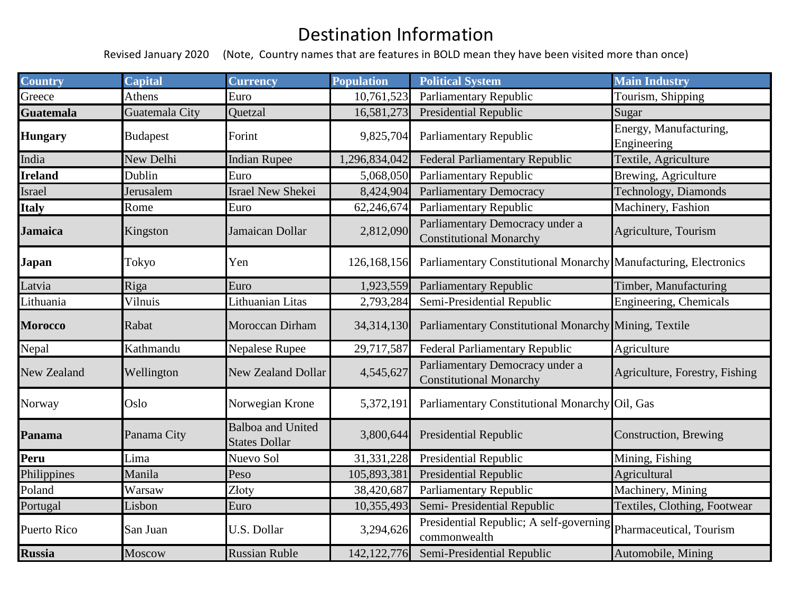## Destination Information

Revised January 2020 (Note, Country names that are features in BOLD mean they have been visited more than once)

| <b>Country</b>     | <b>Capital</b>  | <b>Currency</b>                                  | <b>Population</b> | <b>Political System</b>                                           | <b>Main Industry</b>                  |
|--------------------|-----------------|--------------------------------------------------|-------------------|-------------------------------------------------------------------|---------------------------------------|
| Greece             | Athens          | Euro                                             | 10,761,523        | <b>Parliamentary Republic</b>                                     | Tourism, Shipping                     |
| <b>Guatemala</b>   | Guatemala City  | Quetzal                                          | 16,581,273        | <b>Presidential Republic</b>                                      | Sugar                                 |
| <b>Hungary</b>     | <b>Budapest</b> | Forint                                           | 9,825,704         | Parliamentary Republic                                            | Energy, Manufacturing,<br>Engineering |
| India              | New Delhi       | <b>Indian Rupee</b>                              | 1,296,834,042     | <b>Federal Parliamentary Republic</b>                             | Textile, Agriculture                  |
| <b>Ireland</b>     | Dublin          | Euro                                             | 5,068,050         | Parliamentary Republic                                            | Brewing, Agriculture                  |
| Israel             | Jerusalem       | Israel New Shekei                                | 8,424,904         | <b>Parliamentary Democracy</b>                                    | Technology, Diamonds                  |
| <b>Italy</b>       | Rome            | Euro                                             | 62,246,674        | Parliamentary Republic                                            | Machinery, Fashion                    |
| <b>Jamaica</b>     | Kingston        | Jamaican Dollar                                  | 2,812,090         | Parliamentary Democracy under a<br><b>Constitutional Monarchy</b> | Agriculture, Tourism                  |
| <b>Japan</b>       | Tokyo           | Yen                                              | 126,168,156       | Parliamentary Constitutional Monarchy Manufacturing, Electronics  |                                       |
| Latvia             | Riga            | Euro                                             | 1,923,559         | <b>Parliamentary Republic</b>                                     | Timber, Manufacturing                 |
| Lithuania          | Vilnuis         | Lithuanian Litas                                 | 2,793,284         | Semi-Presidential Republic                                        | Engineering, Chemicals                |
| <b>Morocco</b>     | Rabat           | Moroccan Dirham                                  | 34,314,130        | Parliamentary Constitutional Monarchy Mining, Textile             |                                       |
| Nepal              | Kathmandu       | Nepalese Rupee                                   | 29,717,587        | <b>Federal Parliamentary Republic</b>                             | Agriculture                           |
| <b>New Zealand</b> | Wellington      | <b>New Zealand Dollar</b>                        | 4,545,627         | Parliamentary Democracy under a<br><b>Constitutional Monarchy</b> | Agriculture, Forestry, Fishing        |
| Norway             | Oslo            | Norwegian Krone                                  | 5,372,191         | Parliamentary Constitutional Monarchy Oil, Gas                    |                                       |
| Panama             | Panama City     | <b>Balboa and United</b><br><b>States Dollar</b> | 3,800,644         | Presidential Republic                                             | Construction, Brewing                 |
| Peru               | Lima            | Nuevo Sol                                        | 31,331,228        | <b>Presidential Republic</b>                                      | Mining, Fishing                       |
| Philippines        | Manila          | Peso                                             | 105,893,381       | <b>Presidential Republic</b>                                      | Agricultural                          |
| Poland             | Warsaw          | Złoty                                            | 38,420,687        | Parliamentary Republic                                            | Machinery, Mining                     |
| Portugal           | Lisbon          | Euro                                             | 10,355,493        | Semi-Presidential Republic                                        | Textiles, Clothing, Footwear          |
| Puerto Rico        | San Juan        | U.S. Dollar                                      | 3,294,626         | Presidential Republic; A self-governing<br>commonwealth           | Pharmaceutical, Tourism               |
| <b>Russia</b>      | Moscow          | <b>Russian Ruble</b>                             | 142, 122, 776     | Semi-Presidential Republic                                        | Automobile, Mining                    |